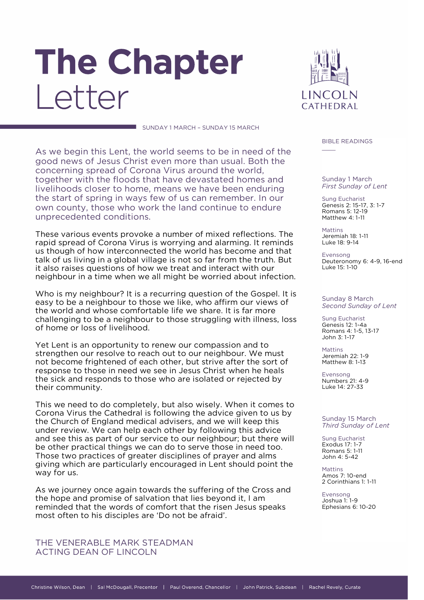# The Chapter Letter



 $\frac{1}{\sqrt{2}}$ 

As we begin this Lent, the world seems to be in need of the good news of Jesus Christ even more than usual. Both the concerning spread of Corona Virus around the world. together with the floods that have devastated homes and livelihoods closer to home, means we have been enduring the start of spring in ways few of us can remember. In our own county, those who work the land continue to endure. unprecedented conditions. unprecedented conditions.

These various events provoke a number of mixed reflections. The rapid spread of Corona Virus is worrying and alarming. It reminds us though of how interconnected the world has become and that talk of us living in a global village is not so far from the truth. But it also raises questions of how we treat and interact with our neighbour in a time when we all might be worried about infection. neighbour in a time when we all might be we all might be worried about infection.

Who is my neighbour? It is a recurring question of the Gospel. It is easy to be a neighbour to those we like, who affirm our views of the world and whose comfortable life we share. It is far more challenging to be a neighbour to those struggling with illness, loss of home or loss of livelihood. of home or loss of livelihood.

Yet Lent is an opportunity to renew our compassion and to<br>strengthen our resolve to reach out to our neighbour. We must not become frightened of each other, but strive after the sort of response to those in need we see in Jesus Christ when he heals the sick and responds to those who are isolated or rejected by their community. their community.

This we need to do completely, but also wisely. When it comes to Corona Virus the Cathedral is following the advice given to us by the Church of England medical advisers, and we will keep this under review. We can help each other by following this advice and see this as part of our service to our neighbour; but there will be other practical things we can do to serve those in need too. Those two practices of greater disciplines of prayer and alms giving which are particularly encouraged in Lent should point the way for us. way for us.

As we journey once again towards the suffering of the Cross and the hope and promise of salvation that lies beyond it, I am reminded that the words of comfort that the risen Jesus speaks most often to his disciples are 'Do not be afraid'. most often to his disciples are 'Do not be afraid'.

THE VENERABLE MARK STEADMAN<br>ACTING DEAN OF LINCOLN ACTING DEAN OF LINCOLN

### **BIBLE READINGS**

### Sunday 1 March<br>First Sunday of Lent *First Sunday of Lent*

Sung Eucharist<br>Genesis 2: 15-17, 3: 1-7 Romans 5: 12-19 Matthew 4: 1-11

Mattins Jeremiah 18: 1-11 Luke 18: 9-14

Evensong Deuteronomy 6: 4-9, 16-end Luke 15: 1-10

### Sunday 8 March<br>Second Sunday of Lent *Second Sunday of Lent*

Sung Eucharist Genesis 12: 1-4a Romans 4: 1-5, 13-17 John 3: 1-17

Mattins Jeremiah 22: 1-9 Matthew 8: 1-13

Evensong Numbers 21: 4-9 Luke 14: 27-33

### Sunday 15 March Third Sunday of Lent *Third Sunday of Lent*

Sung Eucharist<br>Exodus 17: 1-7 Romans 5: 1-11 John 4: 5-42

Mattins<br>Amos 7: 10-end 2 Corinthians 1: 1-11

Evensong  $Josh<sub>u</sub>1:1-9$ Ephesians 6: Ephesians 6: 10-20